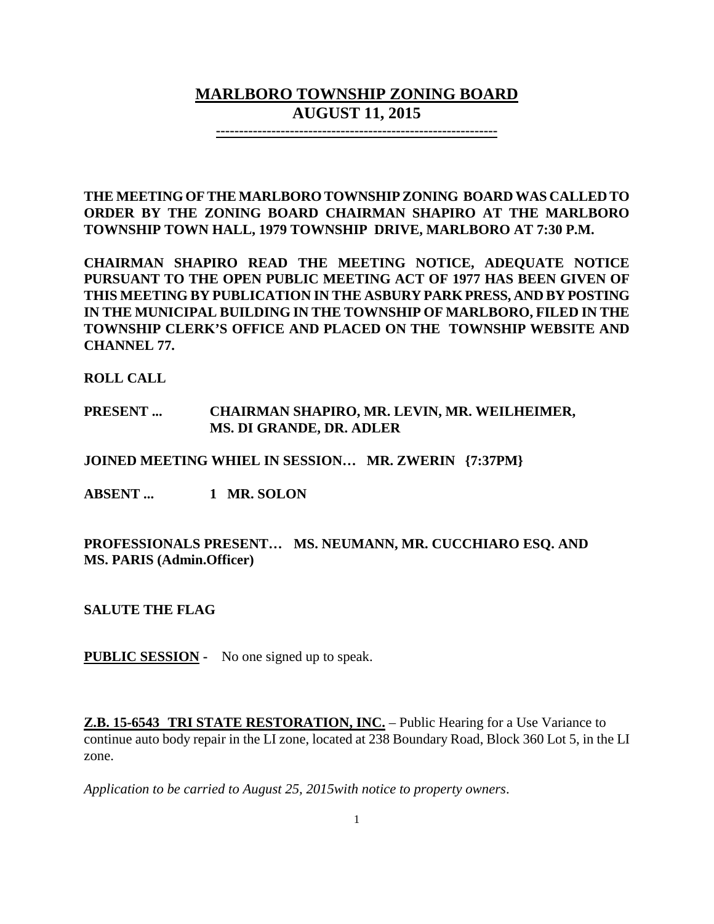## **MARLBORO TOWNSHIP ZONING BOARD AUGUST 11, 2015**

**-------------------------------------------------------------**

**THE MEETING OF THE MARLBORO TOWNSHIP ZONING BOARD WAS CALLED TO ORDER BY THE ZONING BOARD CHAIRMAN SHAPIRO AT THE MARLBORO TOWNSHIP TOWN HALL, 1979 TOWNSHIP DRIVE, MARLBORO AT 7:30 P.M.**

**CHAIRMAN SHAPIRO READ THE MEETING NOTICE, ADEQUATE NOTICE PURSUANT TO THE OPEN PUBLIC MEETING ACT OF 1977 HAS BEEN GIVEN OF THIS MEETING BY PUBLICATION IN THE ASBURY PARK PRESS, AND BY POSTING IN THE MUNICIPAL BUILDING IN THE TOWNSHIP OF MARLBORO, FILED IN THE TOWNSHIP CLERK'S OFFICE AND PLACED ON THE TOWNSHIP WEBSITE AND CHANNEL 77.**

**ROLL CALL**

**PRESENT ... CHAIRMAN SHAPIRO, MR. LEVIN, MR. WEILHEIMER, MS. DI GRANDE, DR. ADLER**

**JOINED MEETING WHIEL IN SESSION… MR. ZWERIN {7:37PM}**

**ABSENT ... 1 MR. SOLON**

**PROFESSIONALS PRESENT… MS. NEUMANN, MR. CUCCHIARO ESQ. AND MS. PARIS (Admin.Officer)**

**SALUTE THE FLAG**

**PUBLIC SESSION -** No one signed up to speak.

**Z.B. 15-6543 TRI STATE RESTORATION, INC.** – Public Hearing for a Use Variance to continue auto body repair in the LI zone, located at 238 Boundary Road, Block 360 Lot 5, in the LI zone.

*Application to be carried to August 25, 2015with notice to property owners*.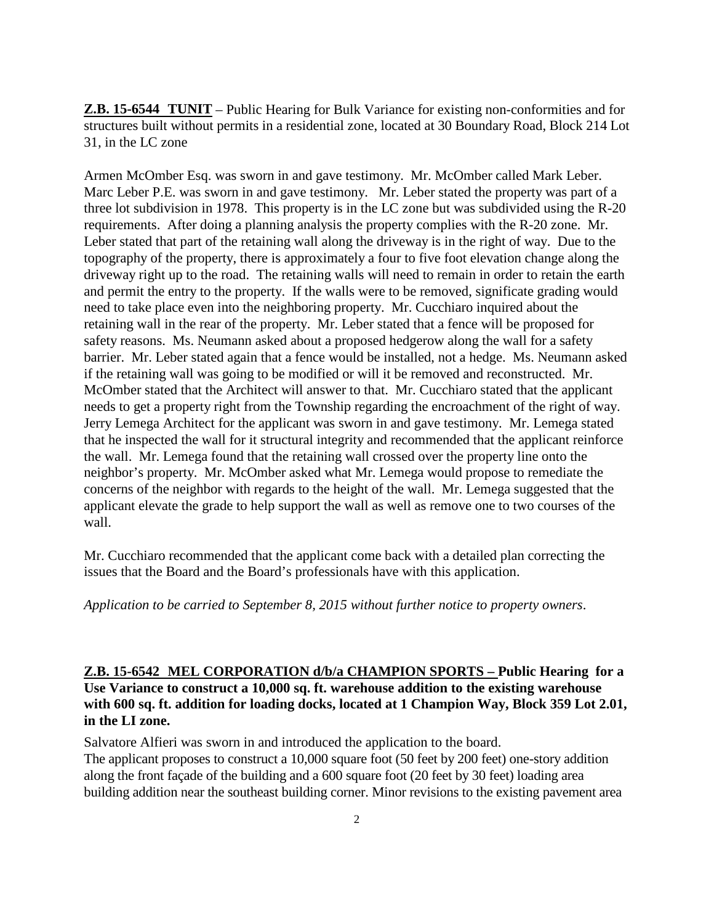**Z.B. 15-6544 TUNIT** – Public Hearing for Bulk Variance for existing non-conformities and for structures built without permits in a residential zone, located at 30 Boundary Road, Block 214 Lot 31, in the LC zone

Armen McOmber Esq. was sworn in and gave testimony. Mr. McOmber called Mark Leber. Marc Leber P.E. was sworn in and gave testimony. Mr. Leber stated the property was part of a three lot subdivision in 1978. This property is in the LC zone but was subdivided using the R-20 requirements. After doing a planning analysis the property complies with the R-20 zone. Mr. Leber stated that part of the retaining wall along the driveway is in the right of way. Due to the topography of the property, there is approximately a four to five foot elevation change along the driveway right up to the road. The retaining walls will need to remain in order to retain the earth and permit the entry to the property. If the walls were to be removed, significate grading would need to take place even into the neighboring property. Mr. Cucchiaro inquired about the retaining wall in the rear of the property. Mr. Leber stated that a fence will be proposed for safety reasons. Ms. Neumann asked about a proposed hedgerow along the wall for a safety barrier. Mr. Leber stated again that a fence would be installed, not a hedge. Ms. Neumann asked if the retaining wall was going to be modified or will it be removed and reconstructed. Mr. McOmber stated that the Architect will answer to that. Mr. Cucchiaro stated that the applicant needs to get a property right from the Township regarding the encroachment of the right of way. Jerry Lemega Architect for the applicant was sworn in and gave testimony. Mr. Lemega stated that he inspected the wall for it structural integrity and recommended that the applicant reinforce the wall. Mr. Lemega found that the retaining wall crossed over the property line onto the neighbor's property. Mr. McOmber asked what Mr. Lemega would propose to remediate the concerns of the neighbor with regards to the height of the wall. Mr. Lemega suggested that the applicant elevate the grade to help support the wall as well as remove one to two courses of the wall.

Mr. Cucchiaro recommended that the applicant come back with a detailed plan correcting the issues that the Board and the Board's professionals have with this application.

*Application to be carried to September 8, 2015 without further notice to property owners*.

#### **Z.B. 15-6542 MEL CORPORATION d/b/a CHAMPION SPORTS – Public Hearing for a Use Variance to construct a 10,000 sq. ft. warehouse addition to the existing warehouse with 600 sq. ft. addition for loading docks, located at 1 Champion Way, Block 359 Lot 2.01, in the LI zone.**

Salvatore Alfieri was sworn in and introduced the application to the board.

The applicant proposes to construct a 10,000 square foot (50 feet by 200 feet) one-story addition along the front façade of the building and a 600 square foot (20 feet by 30 feet) loading area building addition near the southeast building corner. Minor revisions to the existing pavement area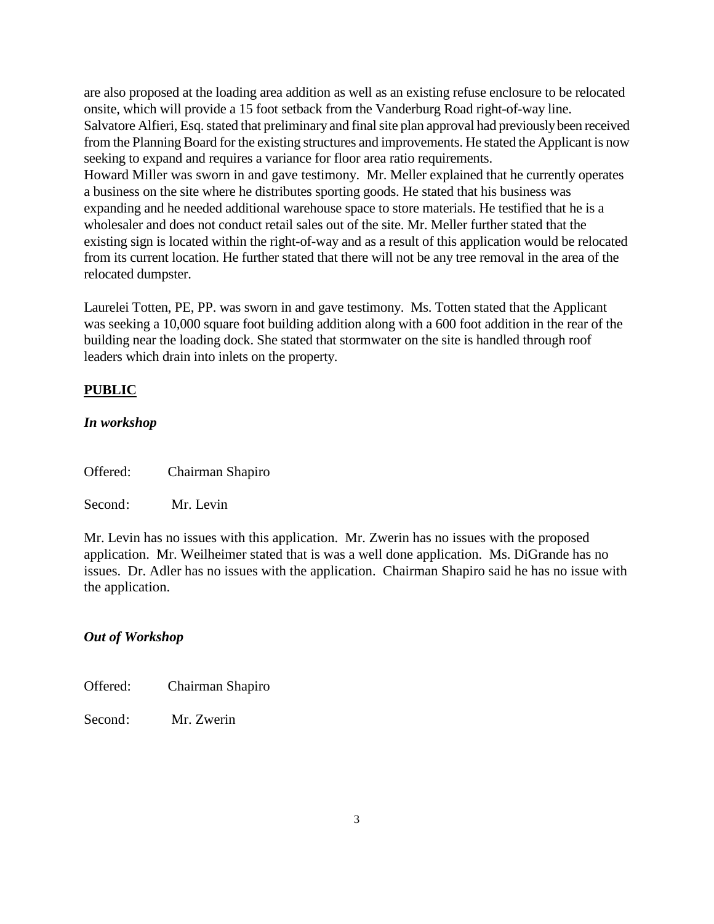are also proposed at the loading area addition as well as an existing refuse enclosure to be relocated onsite, which will provide a 15 foot setback from the Vanderburg Road right-of-way line. Salvatore Alfieri, Esq. stated that preliminary and final site plan approval had previously been received from the Planning Board for the existing structures and improvements. He stated the Applicant is now seeking to expand and requires a variance for floor area ratio requirements. Howard Miller was sworn in and gave testimony. Mr. Meller explained that he currently operates a business on the site where he distributes sporting goods. He stated that his business was expanding and he needed additional warehouse space to store materials. He testified that he is a wholesaler and does not conduct retail sales out of the site. Mr. Meller further stated that the existing sign is located within the right-of-way and as a result of this application would be relocated from its current location. He further stated that there will not be any tree removal in the area of the relocated dumpster.

Laurelei Totten, PE, PP. was sworn in and gave testimony. Ms. Totten stated that the Applicant was seeking a 10,000 square foot building addition along with a 600 foot addition in the rear of the building near the loading dock. She stated that stormwater on the site is handled through roof leaders which drain into inlets on the property.

### **PUBLIC**

#### *In workshop*

Offered: Chairman Shapiro

Second: Mr. Levin

Mr. Levin has no issues with this application. Mr. Zwerin has no issues with the proposed application. Mr. Weilheimer stated that is was a well done application. Ms. DiGrande has no issues. Dr. Adler has no issues with the application. Chairman Shapiro said he has no issue with the application.

#### *Out of Workshop*

Offered: Chairman Shapiro

Second: Mr. Zwerin